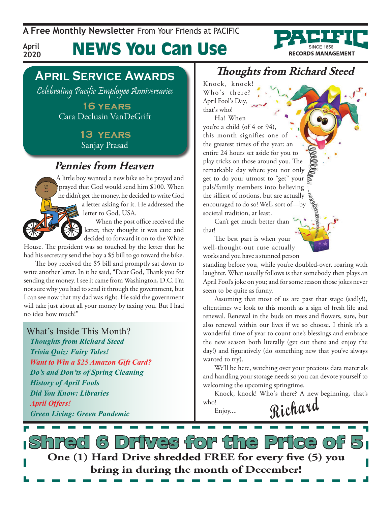**A Free Monthly Newsletter** From Your Friends at Pacific

## News You Can Use



## **April Service Awards**

**April 2020**

Celebrating Pacific Employee Anniversaries

 **16 years** Cara Declusin VanDeGrift

> **13 years** Sanjay Prasad

#### **Pennies from Heaven**

A little boy wanted a new bike so he prayed and prayed that God would send him \$100. When he didn't get the money, he decided to write God a letter asking for it. He addressed the letter to God, USA.

When the post office received the letter, they thought it was cute and decided to forward it on to the White

House. The president was so touched by the letter that he had his secretary send the boy a \$5 bill to go toward the bike.

The boy received the \$5 bill and promptly sat down to write another letter. In it he said, "Dear God, Thank you for sending the money. I see it came from Washington, D.C. I'm not sure why you had to send it through the government, but I can see now that my dad was right. He said the government will take just about all your money by taxing you. But I had no idea how much!"

What's Inside This Month? *Thoughts from Richard Steed Trivia Quiz: Fairy Tales! Want to Win a \$25 Amazon Gift Card? Do's and Don'ts of Spring Cleaning History of April Fools Did You Know: Libraries April Offers! Green Living: Green Pandemic*

### **Thoughts from Richard Steed**

Knock, knock! Who's there? April Fool's Day, that's who!

Ha! When you're a child (of 4 or 94), this month signifies one of the greatest times of the year: an entire 24 hours set aside for you to play tricks on those around you. The remarkable day where you not only get to do your utmost to "get" your pals/family members into believing the silliest of notions, but are actually encouraged to do so! Well, sort of—by societal tradition, at least.

Can't get much better than that!

The best part is when your well-thought-out ruse actually works and you have a stunned person

standing before you, while you're doubled-over, roaring with laughter. What usually follows is that somebody then plays an April Fool's joke on you; and for some reason those jokes never seem to be quite as funny.

Assuming that most of us are past that stage (sadly!), oftentimes we look to this month as a sign of fresh life and renewal. Renewal in the buds on trees and flowers, sure, but also renewal within our lives if we so choose. I think it's a wonderful time of year to count one's blessings and embrace the new season both literally (get out there and enjoy the day!) and figuratively (do something new that you've always wanted to try).

We'll be here, watching over your precious data materials and handling your storage needs so you can devote yourself to welcoming the upcoming springtime.

Knock, knock! Who's there? A new beginning, that's who!

Enjoy....

**Richard**

**S** Drives for the Price o **One (1) Hard Drive shredded FREE for every five (5) you bring in during the month of December!**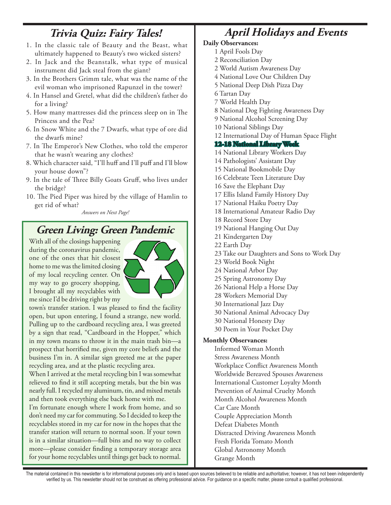### **Trivia Quiz: Fairy Tales!**

- 1. In the classic tale of Beauty and the Beast, what ultimately happened to Beauty's two wicked sisters?
- 2. In Jack and the Beanstalk, what type of musical instrument did Jack steal from the giant?
- 3. In the Brothers Grimm tale, what was the name of the evil woman who imprisoned Rapunzel in the tower?
- 4. In Hansel and Gretel, what did the children's father do for a living?
- 5. How many mattresses did the princess sleep on in The Princess and the Pea?
- 6. In Snow White and the 7 Dwarfs, what type of ore did the dwarfs mine?
- 7. In The Emperor's New Clothes, who told the emperor that he wasn't wearing any clothes?
- 8. Which character said, "I'll huff and I'll puff and I'll blow your house down"?
- 9. In the tale of Three Billy Goats Gruff, who lives under the bridge?
- 10. The Pied Piper was hired by the village of Hamlin to get rid of what?

*Answers on Next Page!*

### **Green Living: Green Pandemic**

With all of the closings happening during the coronavirus pandemic, one of the ones that hit closest home to me was the limited closing of my local recycling center. On my way to go grocery shopping, I brought all my recyclables with me since I'd be driving right by my



town's transfer station. I was pleased to find the facility open, but upon entering, I found a strange, new world. Pulling up to the cardboard recycling area, I was greeted by a sign that read, "Cardboard in the Hopper," which in my town means to throw it in the main trash bin—a prospect that horrified me, given my core beliefs and the business I'm in. A similar sign greeted me at the paper recycling area, and at the plastic recycling area.

When I arrived at the metal recycling bin I was somewhat relieved to find it still accepting metals, but the bin was nearly full. I recycled my aluminum, tin, and mixed metals and then took everything else back home with me.

I'm fortunate enough where I work from home, and so don't need my car for commuting. So I decided to keep the recyclables stored in my car for now in the hopes that the transfer station will return to normal soon. If your town is in a similar situation—full bins and no way to collect more—please consider finding a temporary storage area for your home recyclables until things get back to normal.

## **April Holidays and Events**

#### **Daily Observances:**

- 1 April Fools Day
- 2 Reconciliation Day
- 2 World Autism Awareness Day
- 4 National Love Our Children Day
- 5 National Deep Dish Pizza Day
- 6 Tartan Day
- 7 World Health Day
- 8 National Dog Fighting Awareness Day
- 9 National Alcohol Screening Day
- 10 National Siblings Day
- 12 International Day of Human Space Flight

#### **12-18 National Library Week**

- 14 National Library Workers Day
- 14 Pathologists' Assistant Day
- 15 National Bookmobile Day
- 16 Celebrate Teen Literature Day
- 16 Save the Elephant Day
- 17 Ellis Island Family History Day
- 17 National Haiku Poetry Day
- 18 International Amateur Radio Day
- 18 Record Store Day
- 19 National Hanging Out Day
- 21 Kindergarten Day
- 22 Earth Day
- 23 Take our Daughters and Sons to Work Day
- 23 World Book Night
- 24 National Arbor Day
- 25 Spring Astronomy Day
- 26 National Help a Horse Day
- 28 Workers Memorial Day
- 30 International Jazz Day
- 30 National Animal Advocacy Day
- 30 National Honesty Day
- 30 Poem in Your Pocket Day

#### **Monthly Observances:**

Informed Woman Month Stress Awareness Month Workplace Conflict Awareness Month Worldwide Bereaved Spouses Awareness International Customer Loyalty Month Prevention of Animal Cruelty Month Month Alcohol Awareness Month Car Care Month Couple Appreciation Month Defeat Diabetes Month Distracted Driving Awareness Month Fresh Florida Tomato Month Global Astronomy Month Grange Month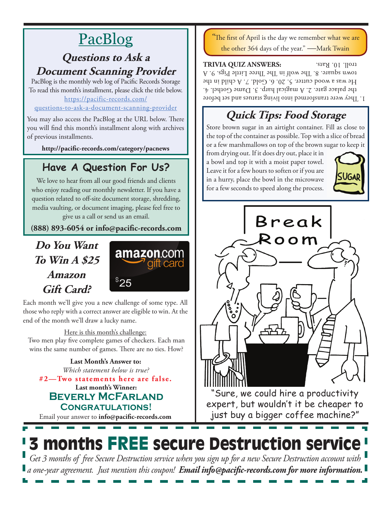# **PacBlog**

### **Questions to Ask a Document Scanning Provider**

PacBlog is the monthly web log of Pacific Records Storage To read this month's installment, please click the title below[.](http://pacific-records.com/5-advantages-of-a-local-shredding-and-destruction-provider) [https://pacific-records.com/](https://pacific-records.com/questions-to-ask-a-document-scanning-provider)

#### [questions-to-ask-a-document-scanning-provider](https://pacific-records.com/questions-to-ask-a-document-scanning-provider)

You may also access the PacBlog at the URL below. There you will find this month's installment along with archives of previous installments.

**http://pacific-records.com/category/pacnews**

## **Have A Question For Us?**

We love to hear from all our good friends and clients who enjoy reading our monthly newsletter. If you have a question related to off-site document storage, shredding, media vaulting, or document imaging, please feel free to give us a call or send us an email.

**(888) 893-6054 or info@pacific-records.com**

## **Do You Want To Win A \$25 Amazon Gift Card?**



Each month we'll give you a new challenge of some type. All those who reply with a correct answer are eligible to win. At the end of the month we'll draw a lucky name.

Here is this month's challenge:

Two men play five complete games of checkers. Each man wins the same number of games. There are no ties. How?

**Last month's Winner: Beverly McFarland Congratulations! #2—Two statements here are false. Last Month's Answer to:**  *Which statement below is true?*

Email your answer to **info@pacific-records.com**

*"*The first of April is the day we remember what we are the other 364 days of the year." —Mark Twain

**TRIVIA QUIZ ANSWERS:** 1. They were transformed into living statues and set before the palace gate. 2. A magical harp. 3. Dame Gothel.  $4$ . He was a wood cutter. 5. 20. 6. Gold. 7. A child in the town square. 8. The wolf in The Three Little Pigs. 9. A troll. 10. Rats.

## **Quick Tips: Food Storage**

Store brown sugar in an airtight container. Fill as close to the top of the container as possible. Top with a slice of bread or a few marshmallows on top of the brown sugar to keep it

from drying out. If it does dry out, place it in a bowl and top it with a moist paper towel. Leave it for a few hours to soften or if you are in a hurry, place the bowl in the microwave for a few seconds to speed along the process.





"Sure, we could hire a productivity expert, but wouldn't it be cheaper to just buy a bigger coffee machine?"

# 3 months FREE secure Destruction service

*Get 3 months of free Secure Destruction service when you sign up for a new Secure Destruction account with a one-year agreement. Just mention this coupon! Email info@pacific-records.com for more information.*